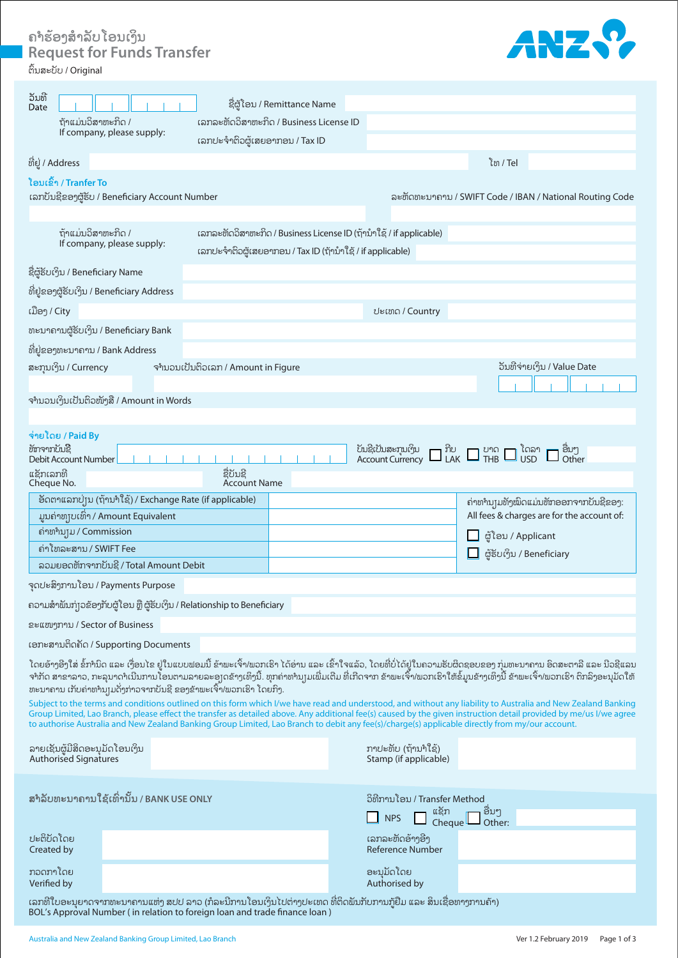**ຄຳຮ້ ອງສໍາລັບໂອນເງິນ Request for Funds Transfer** 



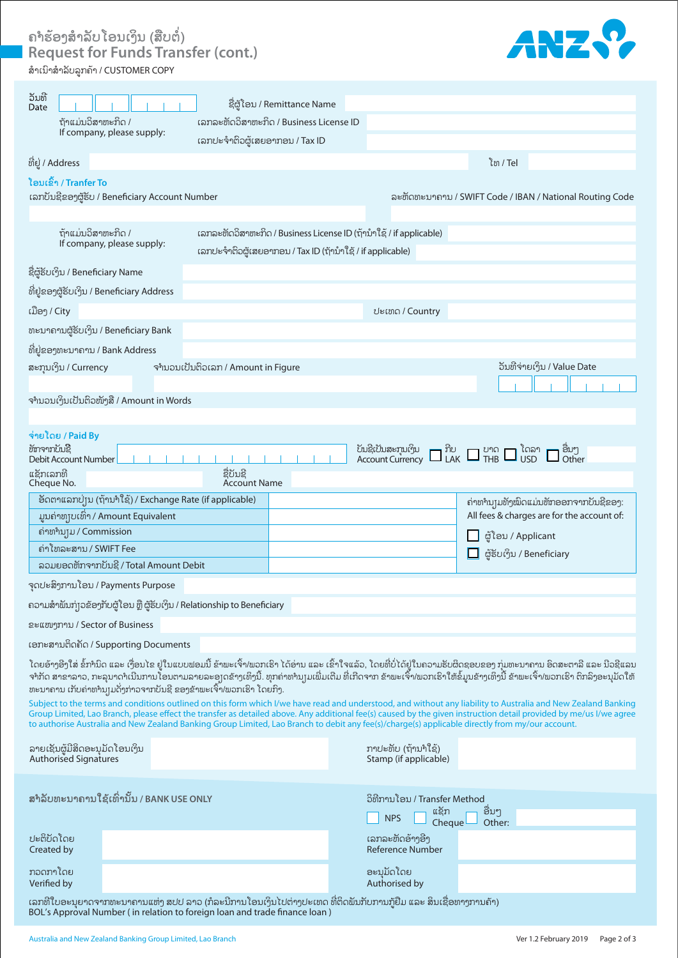ຄຳຮອງສຳລັບ ໂອນເງິນ (ສືບຕໍ່)<br>-**Request for Funds Transfer (cont.)** ສໍາເນົາສໍາລັບລູກຄ້ າ / CUSTOMER COPY



| ້ວັນທີ<br>Date                                                                                                                                                                                                                                                                                                                                                                                                                                                                         | ຊື່ຜູ້ໂອນ / Remittance Name                                         |                                             |                                               |  |
|----------------------------------------------------------------------------------------------------------------------------------------------------------------------------------------------------------------------------------------------------------------------------------------------------------------------------------------------------------------------------------------------------------------------------------------------------------------------------------------|---------------------------------------------------------------------|---------------------------------------------|-----------------------------------------------|--|
| ถ้าแม่บอิสาขาะทิด /                                                                                                                                                                                                                                                                                                                                                                                                                                                                    | ເລກລະຫັດວິສາຫະກິດ / Business License ID                             |                                             |                                               |  |
| If company, please supply:                                                                                                                                                                                                                                                                                                                                                                                                                                                             | ເລກປະຈຳຕິວຜູ້ເສຍອາກອນ / Tax ID                                      |                                             |                                               |  |
| ທີ່ຢູ່ / Address                                                                                                                                                                                                                                                                                                                                                                                                                                                                       |                                                                     |                                             | ิโซ / Tel                                     |  |
| ໂອນເຂົ້າ / Tranfer To                                                                                                                                                                                                                                                                                                                                                                                                                                                                  |                                                                     |                                             |                                               |  |
| ເລກບັນຊີຂອງຜູ້ຮັບ / Beneficiary Account Number<br>ละขัดขาะบาลาบ / SWIFT Code / IBAN / National Routing Code                                                                                                                                                                                                                                                                                                                                                                            |                                                                     |                                             |                                               |  |
|                                                                                                                                                                                                                                                                                                                                                                                                                                                                                        |                                                                     |                                             |                                               |  |
| ຖ້າແມ່ນວິສາຫະກິດ /                                                                                                                                                                                                                                                                                                                                                                                                                                                                     | ເລກລະຫັດວິສາຫະກິດ / Business License ID (ຖ້ານໍາໃຊ້ / if applicable) |                                             |                                               |  |
| If company, please supply:                                                                                                                                                                                                                                                                                                                                                                                                                                                             | ເລກປະຈຳຕິວຜູ້ເສຍອາກອນ / Tax ID (ຖ້ານຳໃຊ້ / if applicable)           |                                             |                                               |  |
| ຊື່ຜູ້ຮັບເງິນ / Beneficiary Name                                                                                                                                                                                                                                                                                                                                                                                                                                                       |                                                                     |                                             |                                               |  |
| ທີ່ຢູ່ຂອງຜູ້ຮັບເງິນ / Beneficiary Address                                                                                                                                                                                                                                                                                                                                                                                                                                              |                                                                     |                                             |                                               |  |
| ເມືອງ / City                                                                                                                                                                                                                                                                                                                                                                                                                                                                           |                                                                     | ປະເທດ / Country                             |                                               |  |
| ທະນາຄານຜູ້ຮັບເງິນ / Beneficiary Bank                                                                                                                                                                                                                                                                                                                                                                                                                                                   |                                                                     |                                             |                                               |  |
| ທີ່ຢູ່ຂອງທະນາຄານ / Bank Address                                                                                                                                                                                                                                                                                                                                                                                                                                                        |                                                                     |                                             |                                               |  |
| ສະກຸນເງິນ / Currency                                                                                                                                                                                                                                                                                                                                                                                                                                                                   | ຈຳນວນເປັນຕິວເລກ / Amount in Figure                                  |                                             | ວັນທີຈ່າຍເງິນ / Value Date                    |  |
|                                                                                                                                                                                                                                                                                                                                                                                                                                                                                        |                                                                     |                                             |                                               |  |
| ຈຳນວນເງິນເປັນຕິວໜັງສື / Amount in Words                                                                                                                                                                                                                                                                                                                                                                                                                                                |                                                                     |                                             |                                               |  |
|                                                                                                                                                                                                                                                                                                                                                                                                                                                                                        |                                                                     |                                             |                                               |  |
| จ่ายโดย / Paid By<br>ข้ทาจากบับຊີ                                                                                                                                                                                                                                                                                                                                                                                                                                                      |                                                                     |                                             |                                               |  |
| ັບນຊີເປັນສະກຸນເງິນ $\Box$ ກີບ $\Box$ ປາດ $\Box$ ໂດລາ $\Box$ ອື່ນໆ<br>Account Currency $\Box$ LAK $\Box$ THB $\Box$ USD $\Box$ Other<br>Debit Account Number                                                                                                                                                                                                                                                                                                                            |                                                                     |                                             |                                               |  |
| ຊື່ບັນຊີ<br>ແຊັກເລກທີ<br>Account Name<br>Cheque No.                                                                                                                                                                                                                                                                                                                                                                                                                                    |                                                                     |                                             |                                               |  |
| ອັດຕາແລກປ່ຽນ (ຖ້ານາໃຊ້) / Exchange Rate (if applicable)<br>ຄ່າທຳນຸງມທັງໝົດແມ່ນຫັກອອກຈາກບັນຊີຂອງ:                                                                                                                                                                                                                                                                                                                                                                                       |                                                                     |                                             |                                               |  |
| ມູນຄ່າທຸງບເທົ່າ / Amount Equivalent                                                                                                                                                                                                                                                                                                                                                                                                                                                    |                                                                     |                                             | All fees & charges are for the account of:    |  |
| ถ่าขางบุบ / Commission                                                                                                                                                                                                                                                                                                                                                                                                                                                                 |                                                                     |                                             | ຜູ້ໂອນ / Applicant                            |  |
| ຄ່າໂທລະສານ / SWIFT Fee                                                                                                                                                                                                                                                                                                                                                                                                                                                                 |                                                                     |                                             | ຜູ້ຮັບເງິນ / Beneficiary                      |  |
| ລວມຍອດຫັກຈາກບັນຊີ / Total Amount Debit                                                                                                                                                                                                                                                                                                                                                                                                                                                 |                                                                     |                                             |                                               |  |
| ຈຸດປະສິງການໂອນ / Payments Purpose                                                                                                                                                                                                                                                                                                                                                                                                                                                      |                                                                     |                                             |                                               |  |
| ຄວາມສຳພັນກ່ຽວຂ້ອງກັບຜູ້ໂອນ ຫຼື ຜູ້ຮັບເງິນ / Relationship to Beneficiary                                                                                                                                                                                                                                                                                                                                                                                                                |                                                                     |                                             |                                               |  |
| ຂະແໜງການ / Sector of Business                                                                                                                                                                                                                                                                                                                                                                                                                                                          |                                                                     |                                             |                                               |  |
| ເອກະສານຕິດຄັດ / Supporting Documents                                                                                                                                                                                                                                                                                                                                                                                                                                                   |                                                                     |                                             |                                               |  |
| ໂດຍອ້າງອີງໃສ່ ຂໍ້ກຳນິດ ແລະ ເງື່ອນໄຂ ຢູໃນແບບຟອມນີ້ ຂ້າພະເຈົ້າ/ພວກເຮົາ ໄດ້ອ່ານ ແລະ ເຂົ້າໃຈແລ້ວ, ໂດຍທີ່ບໍ່ໄດ້ຢູໃນຄວາມຮັບຜິດຊອບຂອງ ກຸ່ມທະນາຄານ ອິດສະຕາລີ ແລະ ນີວຊີແລນ<br>ຈາກັດ ສາຂາລາວ, ກະລຸນາດາເນີນການໂອນຕາມລາຍລະອຸງດຂ້າງເທິງນີ້. ທຸກຄ່າທານງມເພີ່ມເຕີມ ທີ່ເກີດຈາກ ຂ້າພະເຈົ້າ/ພວກເຮົາໃຫ້ຂໍ້ມູນຂ້າງເທິງນີ້ ຂ້າພະເຈົ້າ/ພວກເຮົາ ຕິກລິງອະນຸມັດໃຫ້<br>ທະນາຄານ ເກັບຄ່າທຳນ $\mathop{\mathrm{pl}}$ ດັ່ງກ່າວຈາກບັນຊີ ຂອງຂ້າພະເຈົ້າ/ພວກເຮົາ ໂດຍກິງ.                                                  |                                                                     |                                             |                                               |  |
| Subject to the terms and conditions outlined on this form which I/we have read and understood, and without any liability to Australia and New Zealand Banking<br>Group Limited, Lao Branch, please effect the transfer as detailed above. Any additional fee(s) caused by the given instruction detail provided by me/us I/we agree<br>to authorise Australia and New Zealand Banking Group Limited, Lao Branch to debit any fee(s)/charge(s) applicable directly from my/our account. |                                                                     |                                             |                                               |  |
| ລາຍເຊັນຜູ້ມີສິດອະນຸມັດໂອນເງິນ<br><b>Authorised Signatures</b>                                                                                                                                                                                                                                                                                                                                                                                                                          |                                                                     | ກາປະທັບ (ຖ້ານາໃຊ້)<br>Stamp (if applicable) |                                               |  |
|                                                                                                                                                                                                                                                                                                                                                                                                                                                                                        |                                                                     |                                             |                                               |  |
| สำลับทะมาถามใຊ້ເທົ່ານັ້ນ / BANK USE ONLY                                                                                                                                                                                                                                                                                                                                                                                                                                               |                                                                     |                                             | ວິທີການໂອນ / Transfer Method<br>ອື່ນໆ<br>ແຊັກ |  |
|                                                                                                                                                                                                                                                                                                                                                                                                                                                                                        |                                                                     | <b>NPS</b><br>Cheque                        | Other:                                        |  |
| ປະຕິບັດໂດຍ<br>Created by                                                                                                                                                                                                                                                                                                                                                                                                                                                               |                                                                     | ເລກລະຫັດອ້າງອີງ<br>Reference Number         |                                               |  |
|                                                                                                                                                                                                                                                                                                                                                                                                                                                                                        |                                                                     |                                             |                                               |  |
| ກວດກາໂດຍ<br>Verified by                                                                                                                                                                                                                                                                                                                                                                                                                                                                |                                                                     | ອະນຸມັດໂດຍ<br>Authorised by                 |                                               |  |
| ເລກທີ່ໃບອະນຸຍາດຈາກທະນາຄານແຫ່ງ ສປປ ລາວ (ກໍລະນີການໂອນເງິນໄປຕ່າງປະເທດ ທີ່ຕິດພັນກັບການກູ້ຢືມ ແລະ ສິນເຊື່ອທາງການຄ້າ)<br>BOL's Approval Number (in relation to foreign loan and trade finance loan)                                                                                                                                                                                                                                                                                          |                                                                     |                                             |                                               |  |